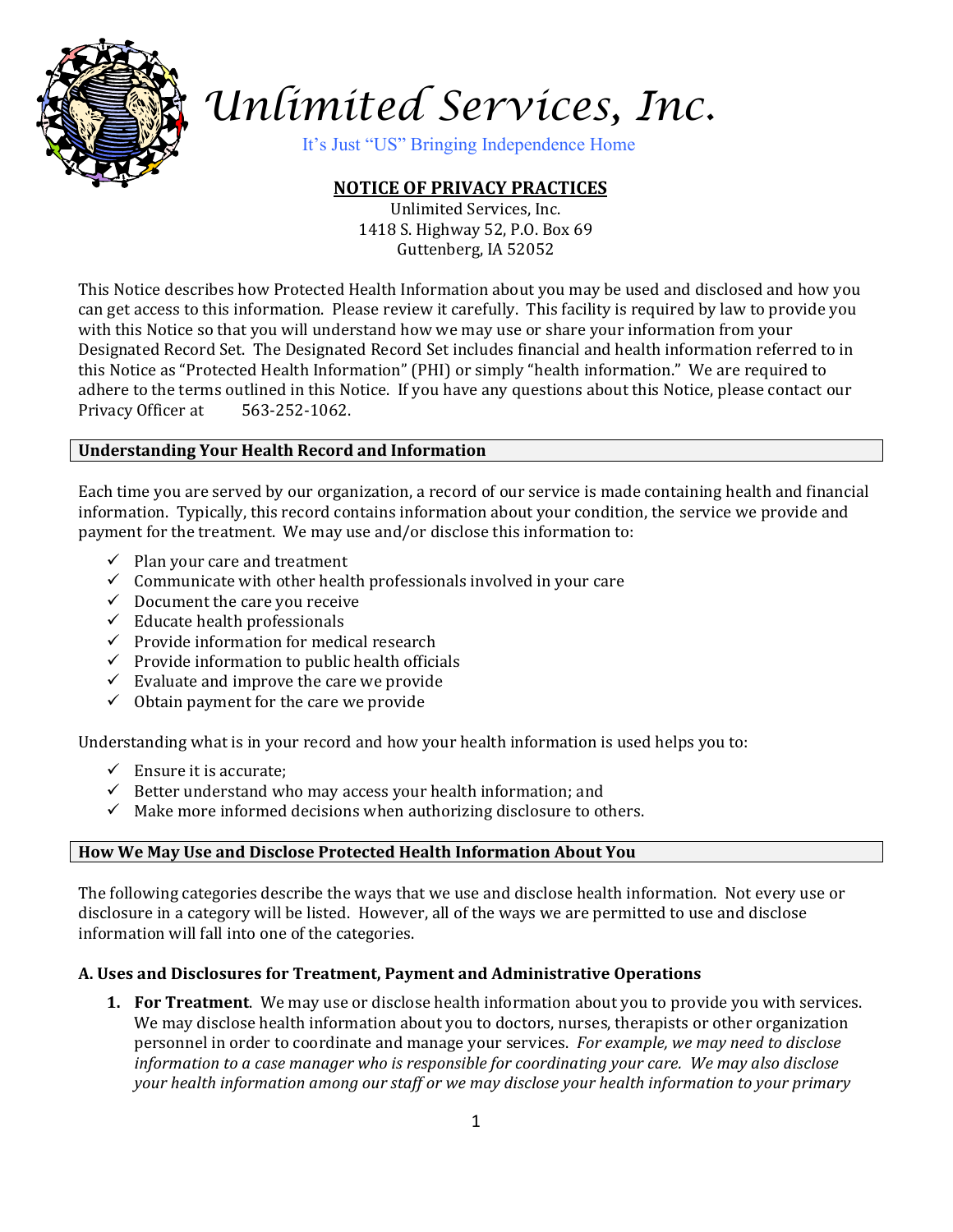

# *Unlimited Services, Inc.*

It's Just "US" Bringing Independence Home

# **NOTICE OF PRIVACY PRACTICES**

Unlimited Services, Inc. 1418 S. Highway 52, P.O. Box 69 Guttenberg, IA 52052

This Notice describes how Protected Health Information about you may be used and disclosed and how you can get access to this information. Please review it carefully. This facility is required by law to provide you with this Notice so that you will understand how we may use or share your information from your Designated Record Set. The Designated Record Set includes financial and health information referred to in this Notice as "Protected Health Information" (PHI) or simply "health information." We are required to adhere to the terms outlined in this Notice. If you have any questions about this Notice, please contact our Privacy Officer at 563-252-1062.

# **Understanding Your Health Record and Information**

Each time you are served by our organization, a record of our service is made containing health and financial information. Typically, this record contains information about your condition, the service we provide and payment for the treatment. We may use and/or disclose this information to:

- $\checkmark$  Plan your care and treatment
- $\checkmark$  Communicate with other health professionals involved in your care
- $\checkmark$  Document the care you receive
- $\checkmark$  Educate health professionals
- $\checkmark$  Provide information for medical research
- $\checkmark$  Provide information to public health officials
- $\checkmark$  Evaluate and improve the care we provide
- $\checkmark$  Obtain payment for the care we provide

Understanding what is in your record and how your health information is used helps you to:

- $\checkmark$  Ensure it is accurate;
- $\checkmark$  Better understand who may access your health information; and
- $\checkmark$  Make more informed decisions when authorizing disclosure to others.

# **How We May Use and Disclose Protected Health Information About You**

The following categories describe the ways that we use and disclose health information. Not every use or disclosure in a category will be listed. However, all of the ways we are permitted to use and disclose information will fall into one of the categories.

# **A. Uses and Disclosures for Treatment, Payment and Administrative Operations**

**1. For Treatment**. We may use or disclose health information about you to provide you with services. We may disclose health information about you to doctors, nurses, therapists or other organization personnel in order to coordinate and manage your services. *For example, we may need to disclose information to a case manager who is responsible for coordinating your care.**We may also disclose your health information among our staff or we may disclose your health information to your primary*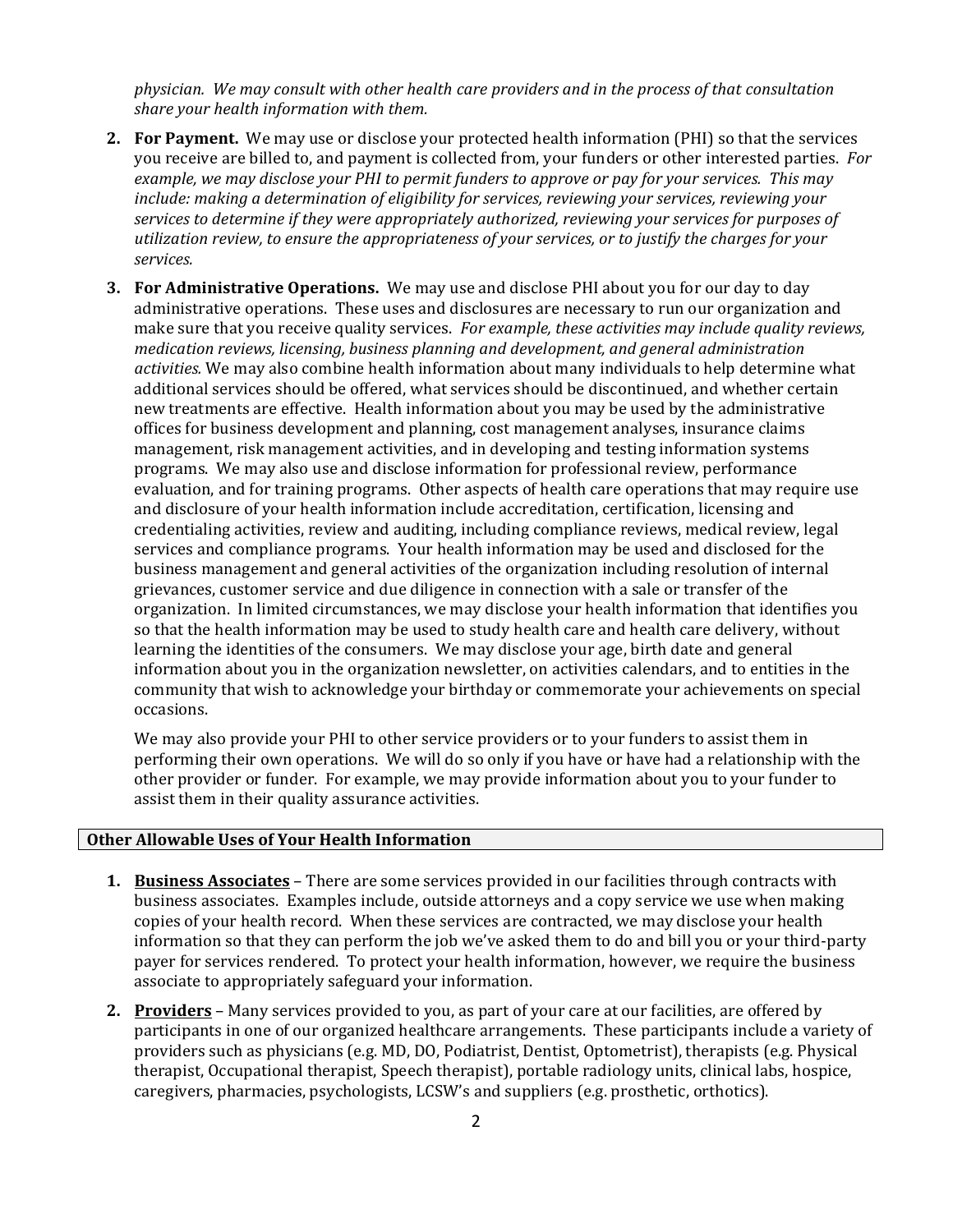*physician. We may consult with other health care providers and in the process of that consultation share your health information with them.*

- **2. For Payment.** We may use or disclose your protected health information (PHI) so that the services you receive are billed to, and payment is collected from, your funders or other interested parties. *For example, we may disclose your PHI to permit funders to approve or pay for your services. This may include: making a determination of eligibility for services, reviewing your services, reviewing your services to determine if they were appropriately authorized, reviewing your services for purposes of utilization review, to ensure the appropriateness of your services, or to justify the charges for your services.*
- **3. For Administrative Operations.** We may use and disclose PHI about you for our day to day administrative operations. These uses and disclosures are necessary to run our organization and make sure that you receive quality services. *For example, these activities may include quality reviews, medication reviews, licensing, business planning and development, and general administration activities.* We may also combine health information about many individuals to help determine what additional services should be offered, what services should be discontinued, and whether certain new treatments are effective. Health information about you may be used by the administrative offices for business development and planning, cost management analyses, insurance claims management, risk management activities, and in developing and testing information systems programs. We may also use and disclose information for professional review, performance evaluation, and for training programs. Other aspects of health care operations that may require use and disclosure of your health information include accreditation, certification, licensing and credentialing activities, review and auditing, including compliance reviews, medical review, legal services and compliance programs. Your health information may be used and disclosed for the business management and general activities of the organization including resolution of internal grievances, customer service and due diligence in connection with a sale or transfer of the organization. In limited circumstances, we may disclose your health information that identifies you so that the health information may be used to study health care and health care delivery, without learning the identities of the consumers. We may disclose your age, birth date and general information about you in the organization newsletter, on activities calendars, and to entities in the community that wish to acknowledge your birthday or commemorate your achievements on special occasions.

We may also provide your PHI to other service providers or to your funders to assist them in performing their own operations. We will do so only if you have or have had a relationship with the other provider or funder. For example, we may provide information about you to your funder to assist them in their quality assurance activities.

## **Other Allowable Uses of Your Health Information**

- **1. Business Associates** There are some services provided in our facilities through contracts with business associates. Examples include, outside attorneys and a copy service we use when making copies of your health record. When these services are contracted, we may disclose your health information so that they can perform the job we've asked them to do and bill you or your third-party payer for services rendered. To protect your health information, however, we require the business associate to appropriately safeguard your information.
- **2. Providers** Many services provided to you, as part of your care at our facilities, are offered by participants in one of our organized healthcare arrangements. These participants include a variety of providers such as physicians (e.g. MD, DO, Podiatrist, Dentist, Optometrist), therapists (e.g. Physical therapist, Occupational therapist, Speech therapist), portable radiology units, clinical labs, hospice, caregivers, pharmacies, psychologists, LCSW's and suppliers (e.g. prosthetic, orthotics).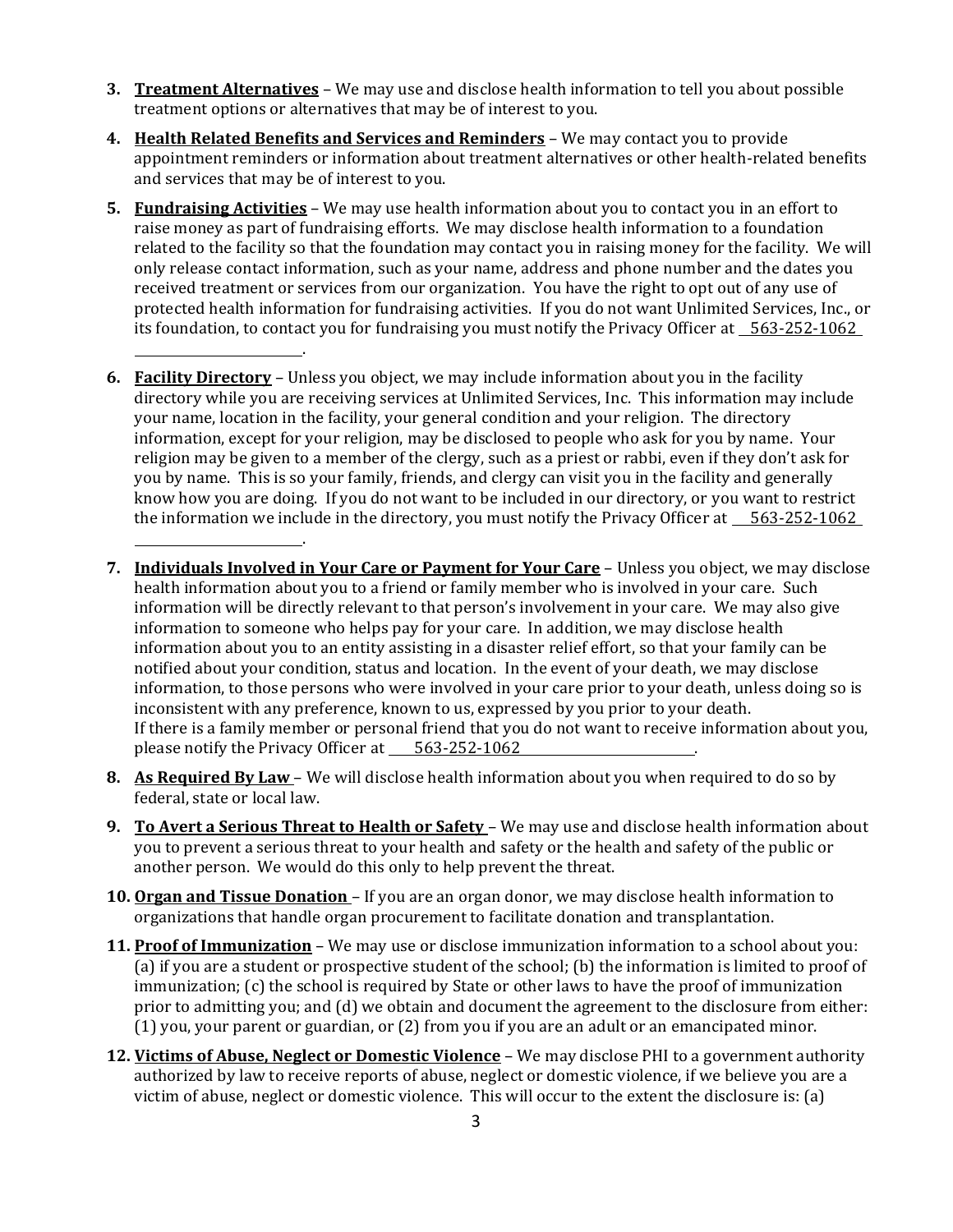- **3. Treatment Alternatives** We may use and disclose health information to tell you about possible treatment options or alternatives that may be of interest to you.
- **4. Health Related Benefits and Services and Reminders** We may contact you to provide appointment reminders or information about treatment alternatives or other health-related benefits and services that may be of interest to you.
- **5. Fundraising Activities** We may use health information about you to contact you in an effort to raise money as part of fundraising efforts. We may disclose health information to a foundation related to the facility so that the foundation may contact you in raising money for the facility. We will only release contact information, such as your name, address and phone number and the dates you received treatment or services from our organization. You have the right to opt out of any use of protected health information for fundraising activities. If you do not want Unlimited Services, Inc., or its foundation, to contact you for fundraising you must notify the Privacy Officer at 563-252-1062
- **6. Facility Directory** Unless you object, we may include information about you in the facility directory while you are receiving services at Unlimited Services, Inc. This information may include your name, location in the facility, your general condition and your religion. The directory information, except for your religion, may be disclosed to people who ask for you by name. Your religion may be given to a member of the clergy, such as a priest or rabbi, even if they don't ask for you by name. This is so your family, friends, and clergy can visit you in the facility and generally know how you are doing. If you do not want to be included in our directory, or you want to restrict the information we include in the directory, you must notify the Privacy Officer at  $\frac{563-252-1062}{\cdots}$

.

.

- **7. Individuals Involved in Your Care or Payment for Your Care** Unless you object, we may disclose health information about you to a friend or family member who is involved in your care. Such information will be directly relevant to that person's involvement in your care. We may also give information to someone who helps pay for your care. In addition, we may disclose health information about you to an entity assisting in a disaster relief effort, so that your family can be notified about your condition, status and location. In the event of your death, we may disclose information, to those persons who were involved in your care prior to your death, unless doing so is inconsistent with any preference, known to us, expressed by you prior to your death. If there is a family member or personal friend that you do not want to receive information about you, please notify the Privacy Officer at \_\_ 563-252-1062
- **8. As Required By Law**  We will disclose health information about you when required to do so by federal, state or local law.
- **9. To Avert a Serious Threat to Health or Safety**  We may use and disclose health information about you to prevent a serious threat to your health and safety or the health and safety of the public or another person. We would do this only to help prevent the threat.
- **10. Organ and Tissue Donation**  If you are an organ donor, we may disclose health information to organizations that handle organ procurement to facilitate donation and transplantation.
- **11. Proof of Immunization** We may use or disclose immunization information to a school about you: (a) if you are a student or prospective student of the school; (b) the information is limited to proof of immunization; (c) the school is required by State or other laws to have the proof of immunization prior to admitting you; and (d) we obtain and document the agreement to the disclosure from either: (1) you, your parent or guardian, or (2) from you if you are an adult or an emancipated minor.
- **12. Victims of Abuse, Neglect or Domestic Violence** We may disclose PHI to a government authority authorized by law to receive reports of abuse, neglect or domestic violence, if we believe you are a victim of abuse, neglect or domestic violence. This will occur to the extent the disclosure is: (a)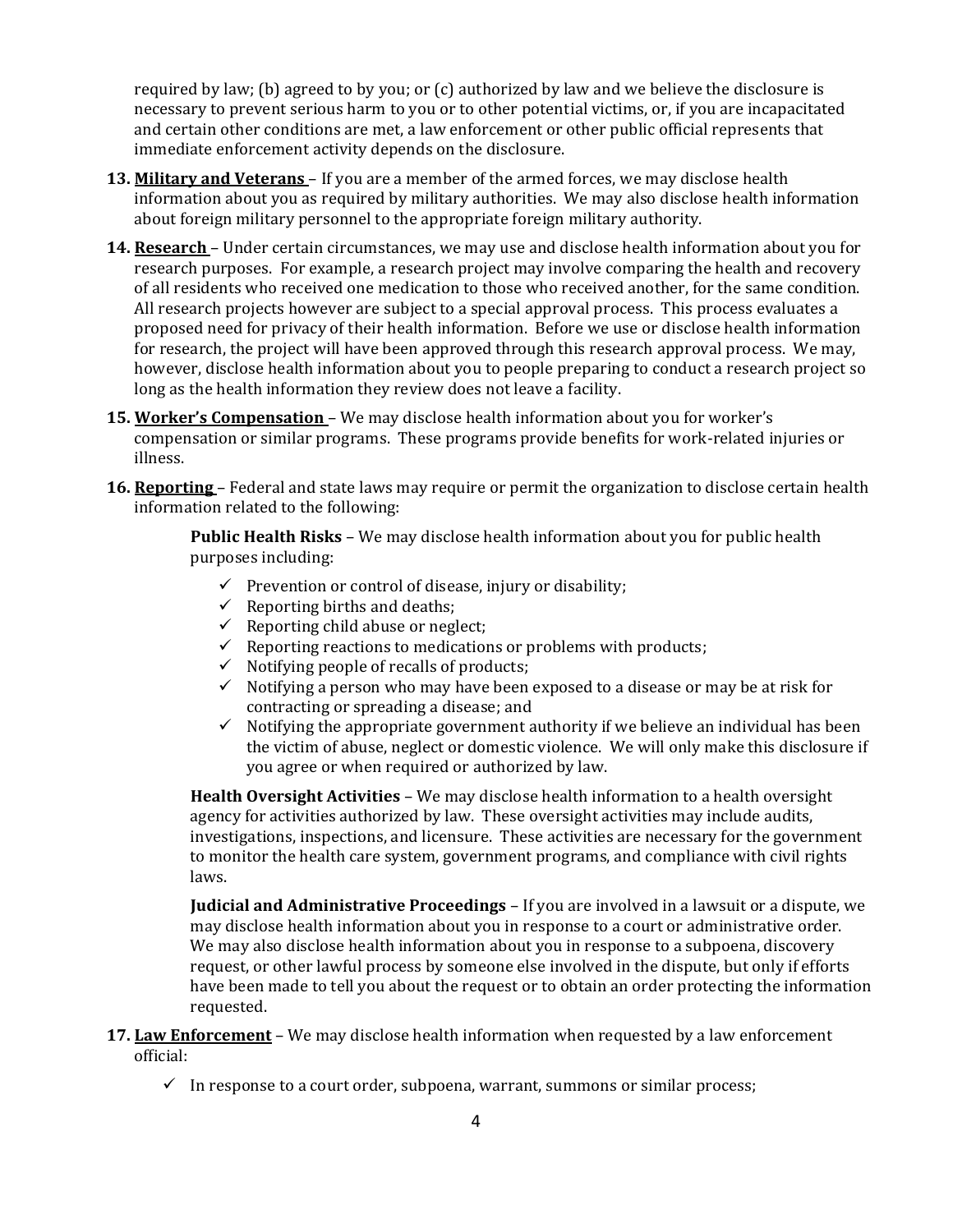required by law; (b) agreed to by you; or (c) authorized by law and we believe the disclosure is necessary to prevent serious harm to you or to other potential victims, or, if you are incapacitated and certain other conditions are met, a law enforcement or other public official represents that immediate enforcement activity depends on the disclosure.

- **13. Military and Veterans**  If you are a member of the armed forces, we may disclose health information about you as required by military authorities. We may also disclose health information about foreign military personnel to the appropriate foreign military authority.
- **14. Research**  Under certain circumstances, we may use and disclose health information about you for research purposes. For example, a research project may involve comparing the health and recovery of all residents who received one medication to those who received another, for the same condition. All research projects however are subject to a special approval process. This process evaluates a proposed need for privacy of their health information. Before we use or disclose health information for research, the project will have been approved through this research approval process. We may, however, disclose health information about you to people preparing to conduct a research project so long as the health information they review does not leave a facility.
- **15. Worker's Compensation**  We may disclose health information about you for worker's compensation or similar programs. These programs provide benefits for work-related injuries or illness.
- **16. Reporting**  Federal and state laws may require or permit the organization to disclose certain health information related to the following:

**Public Health Risks** – We may disclose health information about you for public health purposes including:

- $\checkmark$  Prevention or control of disease, injury or disability;
- $\checkmark$  Reporting births and deaths;
- $\checkmark$  Reporting child abuse or neglect;
- $\checkmark$  Reporting reactions to medications or problems with products;
- ✓ Notifying people of recalls of products;
- $\checkmark$  Notifying a person who may have been exposed to a disease or may be at risk for contracting or spreading a disease; and
- $\checkmark$  Notifying the appropriate government authority if we believe an individual has been the victim of abuse, neglect or domestic violence. We will only make this disclosure if you agree or when required or authorized by law.

**Health Oversight Activities** – We may disclose health information to a health oversight agency for activities authorized by law. These oversight activities may include audits, investigations, inspections, and licensure. These activities are necessary for the government to monitor the health care system, government programs, and compliance with civil rights laws.

**Judicial and Administrative Proceedings** – If you are involved in a lawsuit or a dispute, we may disclose health information about you in response to a court or administrative order. We may also disclose health information about you in response to a subpoena, discovery request, or other lawful process by someone else involved in the dispute, but only if efforts have been made to tell you about the request or to obtain an order protecting the information requested.

- **17. Law Enforcement** We may disclose health information when requested by a law enforcement official:
	- $\checkmark$  In response to a court order, subpoena, warrant, summons or similar process;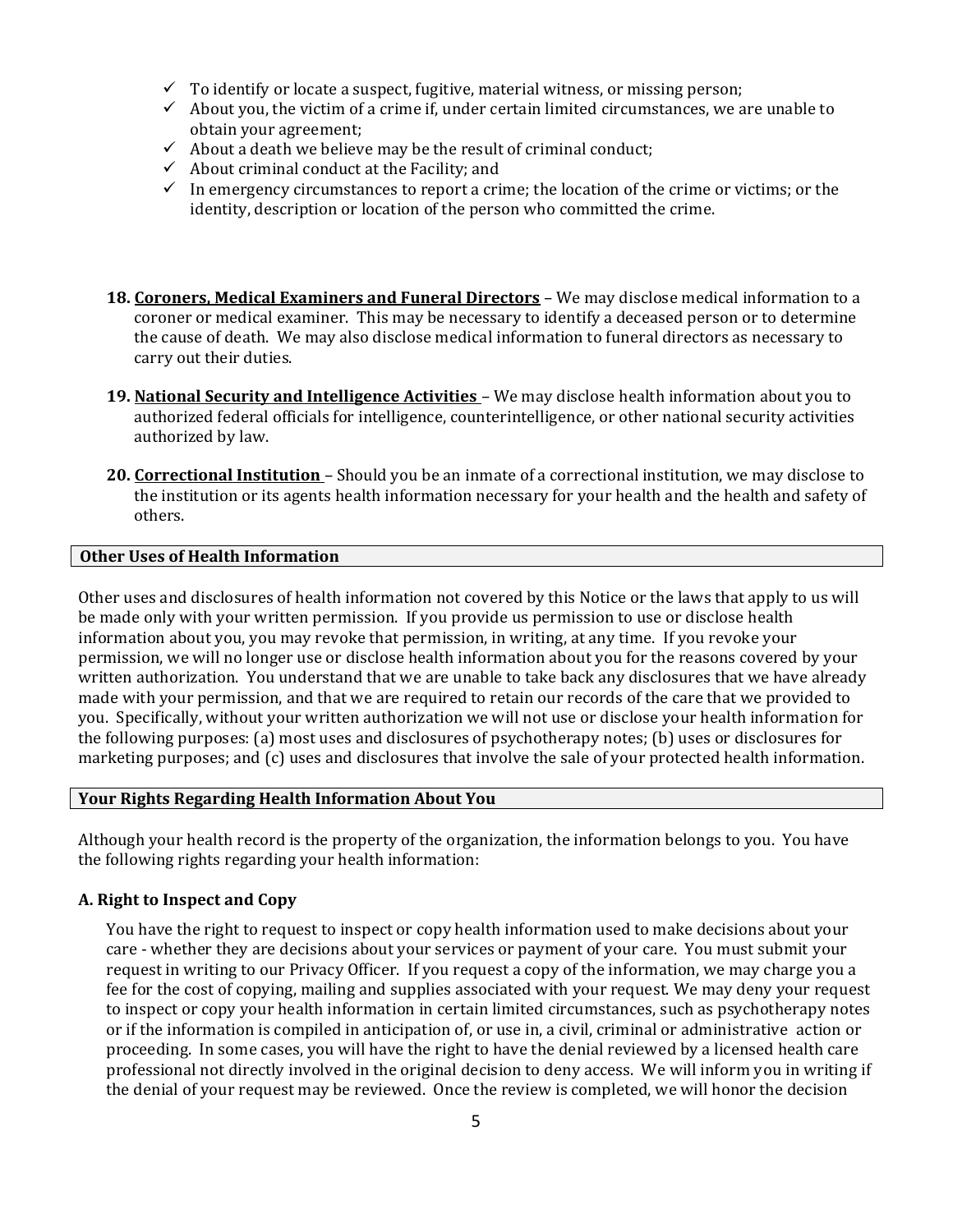- $\checkmark$  To identify or locate a suspect, fugitive, material witness, or missing person;
- $\checkmark$  About you, the victim of a crime if, under certain limited circumstances, we are unable to obtain your agreement;
- $\checkmark$  About a death we believe may be the result of criminal conduct;
- $\checkmark$  About criminal conduct at the Facility; and
- $\checkmark$  In emergency circumstances to report a crime; the location of the crime or victims; or the identity, description or location of the person who committed the crime.
- **18. Coroners, Medical Examiners and Funeral Directors** We may disclose medical information to a coroner or medical examiner. This may be necessary to identify a deceased person or to determine the cause of death. We may also disclose medical information to funeral directors as necessary to carry out their duties.
- **19. National Security and Intelligence Activities**  We may disclose health information about you to authorized federal officials for intelligence, counterintelligence, or other national security activities authorized by law.
- **20. Correctional Institution**  Should you be an inmate of a correctional institution, we may disclose to the institution or its agents health information necessary for your health and the health and safety of others.

# **Other Uses of Health Information**

Other uses and disclosures of health information not covered by this Notice or the laws that apply to us will be made only with your written permission. If you provide us permission to use or disclose health information about you, you may revoke that permission, in writing, at any time. If you revoke your permission, we will no longer use or disclose health information about you for the reasons covered by your written authorization. You understand that we are unable to take back any disclosures that we have already made with your permission, and that we are required to retain our records of the care that we provided to you. Specifically, without your written authorization we will not use or disclose your health information for the following purposes: (a) most uses and disclosures of psychotherapy notes; (b) uses or disclosures for marketing purposes; and (c) uses and disclosures that involve the sale of your protected health information.

## **Your Rights Regarding Health Information About You**

Although your health record is the property of the organization, the information belongs to you. You have the following rights regarding your health information:

## **A. Right to Inspect and Copy**

You have the right to request to inspect or copy health information used to make decisions about your care - whether they are decisions about your services or payment of your care. You must submit your request in writing to our Privacy Officer. If you request a copy of the information, we may charge you a fee for the cost of copying, mailing and supplies associated with your request. We may deny your request to inspect or copy your health information in certain limited circumstances, such as psychotherapy notes or if the information is compiled in anticipation of, or use in, a civil, criminal or administrative action or proceeding. In some cases, you will have the right to have the denial reviewed by a licensed health care professional not directly involved in the original decision to deny access. We will inform you in writing if the denial of your request may be reviewed. Once the review is completed, we will honor the decision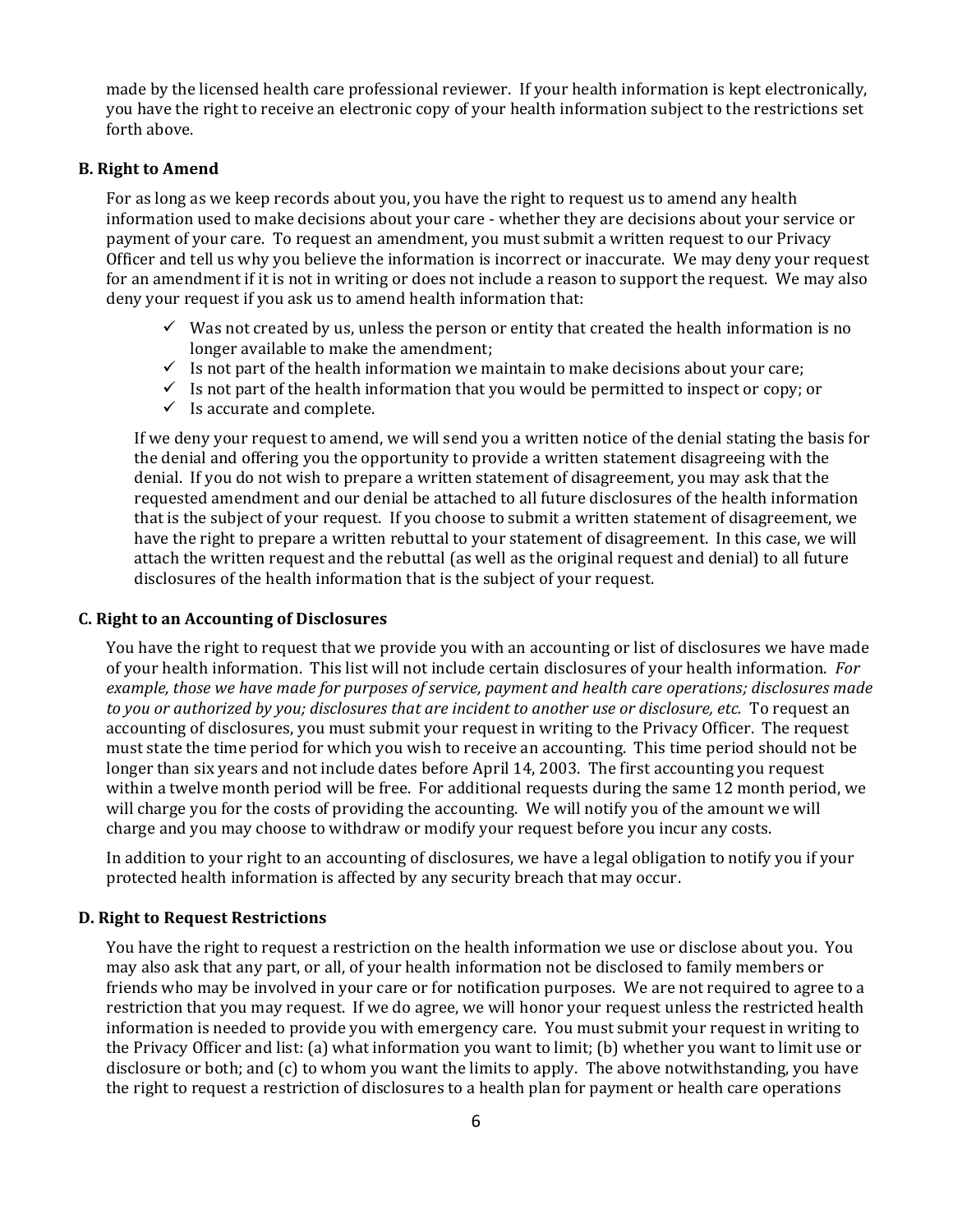made by the licensed health care professional reviewer. If your health information is kept electronically, you have the right to receive an electronic copy of your health information subject to the restrictions set forth above.

#### **B. Right to Amend**

For as long as we keep records about you, you have the right to request us to amend any health information used to make decisions about your care - whether they are decisions about your service or payment of your care. To request an amendment, you must submit a written request to our Privacy Officer and tell us why you believe the information is incorrect or inaccurate. We may deny your request for an amendment if it is not in writing or does not include a reason to support the request. We may also deny your request if you ask us to amend health information that:

- $\checkmark$  Was not created by us, unless the person or entity that created the health information is no longer available to make the amendment;
- $\checkmark$  Is not part of the health information we maintain to make decisions about your care;
- ✓ Is not part of the health information that you would be permitted to inspect or copy; or
- $\checkmark$  Is accurate and complete.

If we deny your request to amend, we will send you a written notice of the denial stating the basis for the denial and offering you the opportunity to provide a written statement disagreeing with the denial. If you do not wish to prepare a written statement of disagreement, you may ask that the requested amendment and our denial be attached to all future disclosures of the health information that is the subject of your request. If you choose to submit a written statement of disagreement, we have the right to prepare a written rebuttal to your statement of disagreement. In this case, we will attach the written request and the rebuttal (as well as the original request and denial) to all future disclosures of the health information that is the subject of your request.

#### **C. Right to an Accounting of Disclosures**

You have the right to request that we provide you with an accounting or list of disclosures we have made of your health information. This list will not include certain disclosures of your health information. *For example, those we have made for purposes of service, payment and health care operations; disclosures made to you or authorized by you; disclosures that are incident to another use or disclosure, etc.* To request an accounting of disclosures, you must submit your request in writing to the Privacy Officer. The request must state the time period for which you wish to receive an accounting. This time period should not be longer than six years and not include dates before April 14, 2003. The first accounting you request within a twelve month period will be free. For additional requests during the same 12 month period, we will charge you for the costs of providing the accounting. We will notify you of the amount we will charge and you may choose to withdraw or modify your request before you incur any costs.

In addition to your right to an accounting of disclosures, we have a legal obligation to notify you if your protected health information is affected by any security breach that may occur.

#### **D. Right to Request Restrictions**

You have the right to request a restriction on the health information we use or disclose about you. You may also ask that any part, or all, of your health information not be disclosed to family members or friends who may be involved in your care or for notification purposes. We are not required to agree to a restriction that you may request. If we do agree, we will honor your request unless the restricted health information is needed to provide you with emergency care. You must submit your request in writing to the Privacy Officer and list: (a) what information you want to limit; (b) whether you want to limit use or disclosure or both; and (c) to whom you want the limits to apply. The above notwithstanding, you have the right to request a restriction of disclosures to a health plan for payment or health care operations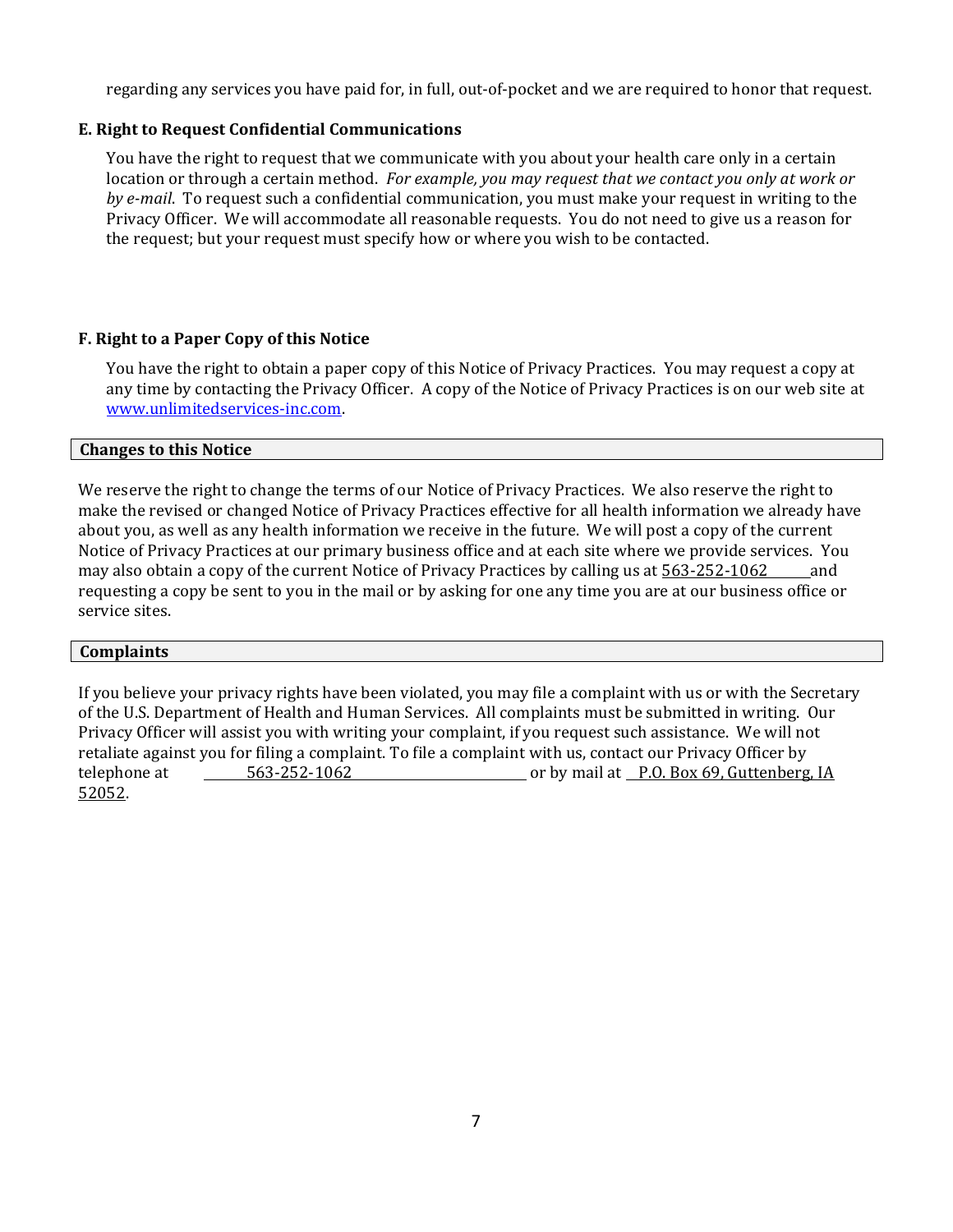regarding any services you have paid for, in full, out-of-pocket and we are required to honor that request.

## **E. Right to Request Confidential Communications**

You have the right to request that we communicate with you about your health care only in a certain location or through a certain method. *For example, you may request that we contact you only at work or by e-mail*. To request such a confidential communication, you must make your request in writing to the Privacy Officer. We will accommodate all reasonable requests. You do not need to give us a reason for the request; but your request must specify how or where you wish to be contacted.

## **F. Right to a Paper Copy of this Notice**

You have the right to obtain a paper copy of this Notice of Privacy Practices. You may request a copy at any time by contacting the Privacy Officer. A copy of the Notice of Privacy Practices is on our web site at [www.unlimitedservices-inc.com.](http://www.unlimitedservices-inc.com/)

## **Changes to this Notice**

We reserve the right to change the terms of our Notice of Privacy Practices. We also reserve the right to make the revised or changed Notice of Privacy Practices effective for all health information we already have about you, as well as any health information we receive in the future. We will post a copy of the current Notice of Privacy Practices at our primary business office and at each site where we provide services. You may also obtain a copy of the current Notice of Privacy Practices by calling us at 563-252-1062 and requesting a copy be sent to you in the mail or by asking for one any time you are at our business office or service sites.

#### **Complaints**

If you believe your privacy rights have been violated, you may file a complaint with us or with the Secretary of the U.S. Department of Health and Human Services. All complaints must be submitted in writing. Our Privacy Officer will assist you with writing your complaint, if you request such assistance. We will not retaliate against you for filing a complaint. To file a complaint with us, contact our Privacy Officer by telephone at 563-252-1062 or by mail at P.O. Box 69, Guttenberg, IA 52052.